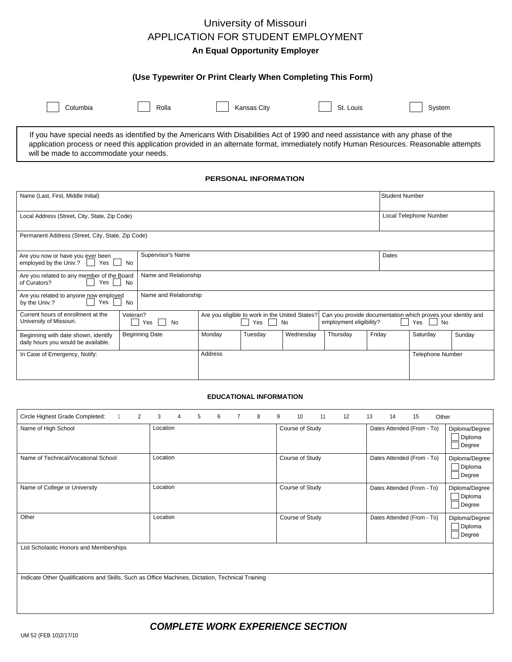## University of Missouri APPLICATION FOR STUDENT EMPLOYMENT **An Equal Opportunity Employer**

### **(Use Typewriter Or Print Clearly When Completing This Form)**

| Columbia | Rolla | Kansas City | ົ້<br>St. Louis | Svstem |
|----------|-------|-------------|-----------------|--------|

If you have special needs as identified by the Americans With Disabilities Act of 1990 and need assistance with any phase of the application process or need this application provided in an alternate format, immediately notify Human Resources. Reasonable attempts will be made to accommodate your needs.

#### **PERSONAL INFORMATION**

| Name (Last, First, Middle Initial)                                                                            |                       |                                                                                                                                                                            |         |           |          | <b>Student Number</b>   |          |        |  |
|---------------------------------------------------------------------------------------------------------------|-----------------------|----------------------------------------------------------------------------------------------------------------------------------------------------------------------------|---------|-----------|----------|-------------------------|----------|--------|--|
| Local Address (Street, City, State, Zip Code)                                                                 |                       |                                                                                                                                                                            |         |           |          | Local Telephone Number  |          |        |  |
| Permanent Address (Street, City, State, Zip Code)                                                             |                       |                                                                                                                                                                            |         |           |          |                         |          |        |  |
| Supervisor's Name<br>Are you now or have you ever been<br>employed by the Univ.? $\vert \vert$<br>Yes  <br>No |                       |                                                                                                                                                                            |         |           |          | Dates                   |          |        |  |
| Are you related to any member of the Board<br>Yes<br>No<br>of Curators?                                       | Name and Relationship |                                                                                                                                                                            |         |           |          |                         |          |        |  |
| Are you related to anyone now employed<br>Yes<br>by the Univ.?<br>No                                          | Name and Relationship |                                                                                                                                                                            |         |           |          |                         |          |        |  |
| Current hours of enrollment at the<br>Veteran?<br>University of Missouri.<br>Yes<br>$\mathbb{R}^n$<br>No      |                       | Are you eligible to work in the United States?<br>Can you provide documentation which proves your identity and<br>Yes<br>employment eligibility?<br><b>No</b><br>Yes<br>No |         |           |          |                         |          |        |  |
| Beginning with date shown, identify<br>daily hours you would be available.                                    | <b>Beginning Date</b> | Monday                                                                                                                                                                     | Tuesday | Wednesday | Thursday | Friday                  | Saturday | Sunday |  |
| In Case of Emergency, Notify:                                                                                 | Address               |                                                                                                                                                                            |         |           |          | <b>Telephone Number</b> |          |        |  |

#### **EDUCATIONAL INFORMATION**

| 2<br>Circle Highest Grade Completed:                                                             | 3<br>6<br>4<br>5<br>$\overline{7}$<br>8 | 11<br>12<br>9<br>10 | Other<br>13<br>14<br>15    |                                     |  |  |  |
|--------------------------------------------------------------------------------------------------|-----------------------------------------|---------------------|----------------------------|-------------------------------------|--|--|--|
| Name of High School                                                                              | Location                                | Course of Study     | Dates Attended (From - To) | Diploma/Degree<br>Diploma<br>Degree |  |  |  |
| Name of Technical/Vocational School                                                              | Location                                | Course of Study     | Dates Attended (From - To) | Diploma/Degree<br>Diploma<br>Degree |  |  |  |
| Name of College or University                                                                    | Location                                | Course of Study     | Dates Attended (From - To) | Diploma/Degree<br>Diploma<br>Degree |  |  |  |
| Other                                                                                            | Location                                | Course of Study     | Dates Attended (From - To) | Diploma/Degree<br>Diploma<br>Degree |  |  |  |
| List Scholastic Honors and Memberships                                                           |                                         |                     |                            |                                     |  |  |  |
| Indicate Other Qualifications and Skills, Such as Office Machines, Dictation, Technical Training |                                         |                     |                            |                                     |  |  |  |

## *COMPLETE WORK EXPERIENCE SECTION*